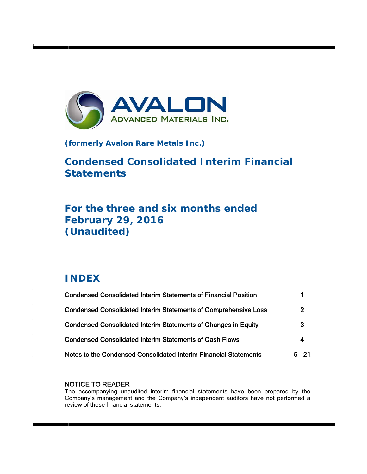

**(formerly Avalon Rare Metals Inc.)** 

# **Condensed Consolidated Interim Financial Statements**

# For the three and six months ended **F Februa ry 29, 2016**  (Unaudited)

# **I INDEX**

t

| <b>Condensed Consolidated Interim Statements of Financial Position</b> |          |
|------------------------------------------------------------------------|----------|
| <b>Condensed Consolidated Interim Statements of Comprehensive Loss</b> | 2        |
| <b>Condensed Consolidated Interim Statements of Changes in Equity</b>  | 3        |
| <b>Condensed Consolidated Interim Statements of Cash Flows</b>         | 4        |
| Notes to the Condensed Consolidated Interim Financial Statements       | $5 - 21$ |

## N NOTICE TO READER

The accompanying unaudited interim financial statements have been prepared by the Company's management and the Company's independent auditors have not performed a review of these financial statements.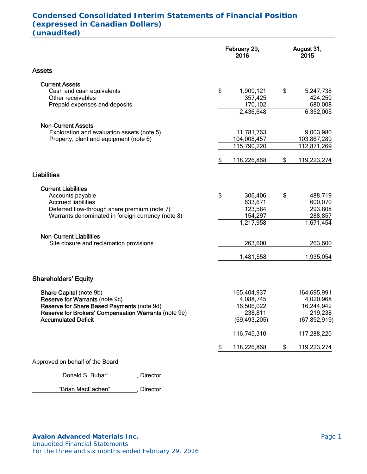## **Condensed Consolidated Interim Statements of Financial Position (expressed in Canadian Dollars) (unaudited)**

|                                                      | February 29,<br>2016 | August 31,<br>2015 |  |
|------------------------------------------------------|----------------------|--------------------|--|
| <b>Assets</b>                                        |                      |                    |  |
| <b>Current Assets</b>                                |                      |                    |  |
| Cash and cash equivalents                            | \$<br>1,909,121      | \$<br>5,247,738    |  |
| Other receivables                                    | 357,425              | 424,259            |  |
| Prepaid expenses and deposits                        | 170,102              | 680,008            |  |
|                                                      | 2,436,648            | 6,352,005          |  |
| <b>Non-Current Assets</b>                            |                      |                    |  |
| Exploration and evaluation assets (note 5)           | 11,781,763           | 9,003,980          |  |
| Property, plant and equipment (note 6)               | 104,008,457          | 103,867,289        |  |
|                                                      | 115,790,220          | 112,871,269        |  |
|                                                      | \$<br>118,226,868    | \$<br>119,223,274  |  |
| <b>Liabilities</b>                                   |                      |                    |  |
| <b>Current Liabilities</b>                           |                      |                    |  |
| Accounts payable                                     | \$<br>306,406        | \$<br>488,719      |  |
| <b>Accrued liabilities</b>                           | 633,671              | 600,070            |  |
| Deferred flow-through share premium (note 7)         | 123,584              | 293,808            |  |
| Warrants denominated in foreign currency (note 8)    | 154,297              | 288,857            |  |
|                                                      | 1,217,958            | 1,671,454          |  |
| <b>Non-Current Liabilities</b>                       |                      |                    |  |
| Site closure and reclamation provisions              | 263,600              | 263,600            |  |
|                                                      | 1,481,558            | 1,935,054          |  |
| <b>Shareholders' Equity</b>                          |                      |                    |  |
| Share Capital (note 9b)                              | 165,404,937          | 164,695,991        |  |
| Reserve for Warrants (note 9c)                       | 4,088,745            | 4,020,968          |  |
| Reserve for Share Based Payments (note 9d)           | 16,506,022           | 16,244,942         |  |
| Reserve for Brokers' Compensation Warrants (note 9e) | 238,811              | 219,238            |  |
| <b>Accumulated Deficit</b>                           | (69, 493, 205)       | (67,892,919)       |  |
|                                                      | 116,745,310          | 117,288,220        |  |
|                                                      | \$<br>118,226,868    | \$<br>119,223,274  |  |
| Approved on behalf of the Board                      |                      |                    |  |

"Donald S. Bubar" , Director

"Brian MacEachen" , Director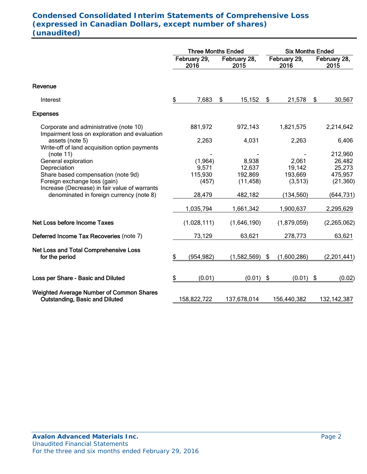# **Condensed Consolidated Interim Statements of Comprehensive Loss (expressed in Canadian Dollars, except number of shares) (unaudited)**

|    |                      |                                                                     | <b>Six Months Ended</b> |                                                                                                                  |                   |                                                                        |                  |
|----|----------------------|---------------------------------------------------------------------|-------------------------|------------------------------------------------------------------------------------------------------------------|-------------------|------------------------------------------------------------------------|------------------|
|    | February 29,<br>2016 |                                                                     | 2015                    | February 29,<br>2016                                                                                             |                   | February 28,<br>2015                                                   |                  |
|    |                      |                                                                     |                         |                                                                                                                  |                   |                                                                        |                  |
| \$ | 7,683                | \$                                                                  | 15,152                  | \$                                                                                                               | 21,578            | \$                                                                     | 30,567           |
|    |                      |                                                                     |                         |                                                                                                                  |                   |                                                                        |                  |
|    | 881,972              |                                                                     | 972,143                 |                                                                                                                  | 1,821,575         |                                                                        | 2,214,642        |
|    | 2,263                |                                                                     | 4,031                   |                                                                                                                  | 2,263             |                                                                        | 6,406            |
|    |                      |                                                                     |                         |                                                                                                                  |                   |                                                                        | 212,960          |
|    |                      |                                                                     |                         |                                                                                                                  |                   |                                                                        | 26,482<br>25,273 |
|    |                      |                                                                     |                         |                                                                                                                  |                   |                                                                        | 475,957          |
|    | (457)                |                                                                     | (11, 458)               |                                                                                                                  | (3,513)           |                                                                        | (21, 360)        |
|    |                      |                                                                     |                         |                                                                                                                  |                   |                                                                        |                  |
|    |                      |                                                                     |                         |                                                                                                                  |                   |                                                                        | (644, 731)       |
|    | 1,035,794            |                                                                     | 1,661,342               |                                                                                                                  | 1,900,637         |                                                                        | 2,295,629        |
|    | (1,028,111)          |                                                                     | (1,646,190)             |                                                                                                                  | (1,879,059)       |                                                                        | (2,265,062)      |
|    | 73,129               |                                                                     | 63,621                  |                                                                                                                  | 278,773           |                                                                        | 63,621           |
|    |                      |                                                                     |                         |                                                                                                                  |                   |                                                                        |                  |
|    |                      |                                                                     |                         |                                                                                                                  |                   |                                                                        | (2,201,441)      |
| \$ | (0.01)               |                                                                     |                         |                                                                                                                  |                   | $\boldsymbol{\mathsf{\$}}$                                             | (0.02)           |
|    |                      |                                                                     |                         |                                                                                                                  |                   |                                                                        | 132, 142, 387    |
|    | \$                   | (1, 964)<br>9,571<br>115,930<br>28,479<br>(954, 982)<br>158,822,722 |                         | <b>Three Months Ended</b><br>February 28,<br>8,938<br>12,637<br>192,869<br>482,182<br>(1,582,569)<br>137,678,014 | \$<br>$(0.01)$ \$ | 2,061<br>19,142<br>193,669<br>(134, 560)<br>(1,600,286)<br>156,440,382 | (0.01)           |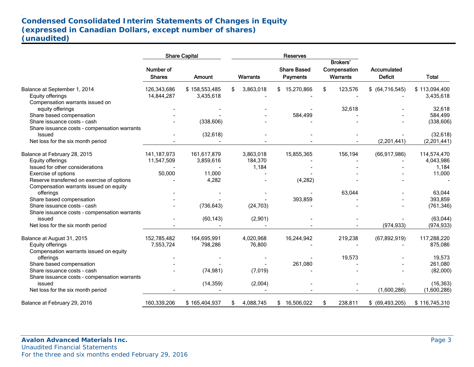# **Condensed Consolidated Interim Statements of Changes in Equity (expressed in Canadian Dollars, except number of shares) (unaudited)**

|                                              |                            | <b>Share Capital</b> |                 |           | Reserves                       |          |                                             |                               |               |
|----------------------------------------------|----------------------------|----------------------|-----------------|-----------|--------------------------------|----------|---------------------------------------------|-------------------------------|---------------|
|                                              | Number of<br><b>Shares</b> | <b>Amount</b>        | <b>Warrants</b> |           | <b>Share Based</b><br>Payments |          | <b>Brokers'</b><br>Compensation<br>Warrants | Accumulated<br><b>Deficit</b> | <b>Total</b>  |
| Balance at September 1, 2014                 | 126,343,686                | \$158,553,485        | 3,863,018<br>\$ |           | \$15,270,866                   |          | \$<br>123,576                               | $$$ (64,716,545)              | \$113,094,400 |
| Equity offerings                             | 14,844,287                 | 3,435,618            |                 |           |                                |          |                                             |                               | 3,435,618     |
| Compensation warrants issued on              |                            |                      |                 |           |                                |          |                                             |                               |               |
| equity offerings                             |                            |                      |                 |           |                                |          | 32,618                                      |                               | 32,618        |
| Share based compensation                     |                            |                      |                 |           |                                | 584,499  |                                             |                               | 584,499       |
| Share issuance costs - cash                  |                            | (338, 606)           |                 |           |                                |          |                                             |                               | (338, 606)    |
| Share issuance costs - compensation warrants |                            |                      |                 |           |                                |          |                                             |                               |               |
| <b>Issued</b>                                |                            | (32, 618)            |                 |           |                                |          |                                             |                               | (32, 618)     |
| Net loss for the six month period            |                            |                      |                 |           |                                |          |                                             | (2,201,441)                   | (2,201,441)   |
| Balance at February 28, 2015                 | 141, 187, 973              | 161,617,879          | 3,863,018       |           | 15,855,365                     |          | 156,194                                     | (66, 917, 986)                | 114,574,470   |
| Equity offerings                             | 11,547,509                 | 3,859,616            |                 | 184,370   |                                |          |                                             |                               | 4,043,986     |
| Issued for other considerations              |                            |                      |                 | 1,184     |                                |          |                                             |                               | 1,184         |
| Exercise of options                          | 50,000                     | 11,000               |                 |           |                                |          |                                             |                               | 11,000        |
| Reserve transferred on exercise of options   |                            | 4,282                |                 |           |                                | (4, 282) |                                             |                               |               |
| Compensation warrants issued on equity       |                            |                      |                 |           |                                |          |                                             |                               |               |
| offerings                                    |                            |                      |                 |           |                                |          | 63,044                                      |                               | 63,044        |
| Share based compensation                     |                            |                      |                 |           |                                | 393,859  |                                             |                               | 393,859       |
| Share issuance costs - cash                  |                            | (736, 643)           |                 | (24, 703) |                                |          |                                             |                               | (761, 346)    |
| Share issuance costs - compensation warrants |                            |                      |                 |           |                                |          |                                             |                               |               |
| issued                                       |                            | (60, 143)            |                 | (2,901)   |                                |          |                                             |                               | (63, 044)     |
| Net loss for the six month period            |                            |                      |                 |           |                                |          |                                             | (974, 933)                    | (974, 933)    |
| Balance at August 31, 2015                   | 152,785,482                | 164,695,991          | 4,020,968       |           | 16,244,942                     |          | 219,238                                     | (67, 892, 919)                | 117,288,220   |
| Equity offerings                             | 7,553,724                  | 798,286              |                 | 76,800    |                                |          |                                             |                               | 875,086       |
| Compensation warrants issued on equity       |                            |                      |                 |           |                                |          |                                             |                               |               |
| offerings                                    |                            |                      |                 |           |                                |          | 19,573                                      |                               | 19,573        |
| Share based compensation                     |                            |                      |                 |           |                                | 261,080  |                                             |                               | 261,080       |
| Share issuance costs - cash                  |                            | (74, 981)            |                 | (7,019)   |                                |          |                                             |                               | (82,000)      |
| Share issuance costs - compensation warrants |                            |                      |                 |           |                                |          |                                             |                               |               |
| issued                                       |                            | (14, 359)            |                 | (2,004)   |                                |          |                                             |                               | (16, 363)     |
| Net loss for the six month period            |                            |                      |                 |           |                                |          |                                             | (1,600,286)                   | (1,600,286)   |
| Balance at February 29, 2016                 | 160,339,206                | \$165,404,937        | 4,088,745<br>\$ |           | 16,506,022<br>\$               |          | \$<br>238,811                               | $$$ (69,493,205)              | \$116,745,310 |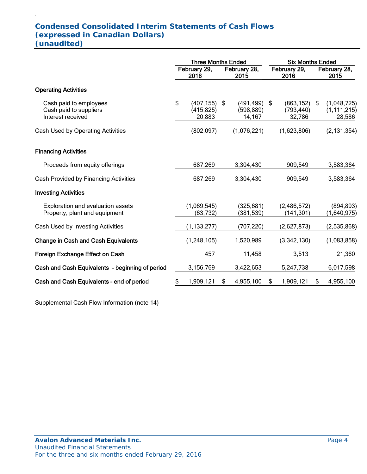# **Condensed Consolidated Interim Statements of Cash Flows (expressed in Canadian Dollars) (unaudited)**

|                                                                       | <b>Three Months Ended</b> |                                         |    | <b>Six Months Ended</b>                 |    |                                    |    |                                        |
|-----------------------------------------------------------------------|---------------------------|-----------------------------------------|----|-----------------------------------------|----|------------------------------------|----|----------------------------------------|
|                                                                       |                           | February 29,<br>2016                    |    | February 28,<br>2015                    |    | February 29,<br>2016               |    | February 28,<br>2015                   |
| <b>Operating Activities</b>                                           |                           |                                         |    |                                         |    |                                    |    |                                        |
| Cash paid to employees<br>Cash paid to suppliers<br>Interest received | \$                        | $(407, 155)$ \$<br>(415, 825)<br>20,883 |    | $(491, 499)$ \$<br>(598, 889)<br>14,167 |    | (863, 152)<br>(793, 440)<br>32,786 | \$ | (1,048,725)<br>(1, 111, 215)<br>28,586 |
| Cash Used by Operating Activities                                     |                           | (802, 097)                              |    | (1,076,221)                             |    | (1,623,806)                        |    | (2, 131, 354)                          |
| <b>Financing Activities</b>                                           |                           |                                         |    |                                         |    |                                    |    |                                        |
| Proceeds from equity offerings                                        |                           | 687,269                                 |    | 3,304,430                               |    | 909,549                            |    | 3,583,364                              |
| Cash Provided by Financing Activities                                 |                           | 687,269                                 |    | 3,304,430                               |    | 909,549                            |    | 3,583,364                              |
| <b>Investing Activities</b>                                           |                           |                                         |    |                                         |    |                                    |    |                                        |
| Exploration and evaluation assets<br>Property, plant and equipment    |                           | (1,069,545)<br>(63, 732)                |    | (325, 681)<br>(381, 539)                |    | (2,486,572)<br>(141, 301)          |    | (894, 893)<br>(1,640,975)              |
| Cash Used by Investing Activities                                     |                           | (1, 133, 277)                           |    | (707,220)                               |    | (2,627,873)                        |    | (2,535,868)                            |
| <b>Change in Cash and Cash Equivalents</b>                            |                           | (1, 248, 105)                           |    | 1,520,989                               |    | (3,342,130)                        |    | (1,083,858)                            |
| Foreign Exchange Effect on Cash                                       |                           | 457                                     |    | 11,458                                  |    | 3,513                              |    | 21,360                                 |
| Cash and Cash Equivalents - beginning of period                       |                           | 3,156,769                               |    | 3,422,653                               |    | 5,247,738                          |    | 6,017,598                              |
| Cash and Cash Equivalents - end of period                             | \$                        | 1,909,121                               | \$ | 4,955,100                               | \$ | 1,909,121                          | \$ | 4,955,100                              |

Supplemental Cash Flow Information (note 14)

.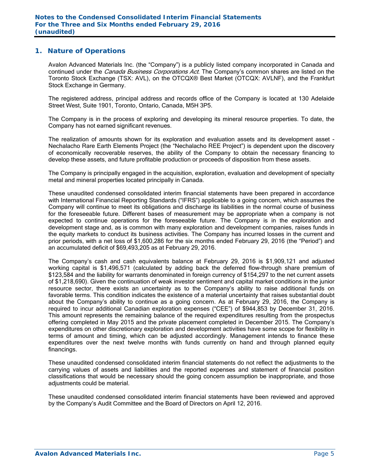## **1. Nature of Operations**

Avalon Advanced Materials Inc. (the "Company") is a publicly listed company incorporated in Canada and continued under the *Canada Business Corporations Act*. The Company's common shares are listed on the Toronto Stock Exchange (TSX: AVL), on the OTCQX® Best Market (OTCQX: AVLNF), and the Frankfurt Stock Exchange in Germany.

The registered address, principal address and records office of the Company is located at 130 Adelaide Street West, Suite 1901, Toronto, Ontario, Canada, M5H 3P5.

The Company is in the process of exploring and developing its mineral resource properties. To date, the Company has not earned significant revenues.

The realization of amounts shown for its exploration and evaluation assets and its development asset - Nechalacho Rare Earth Elements Project (the "Nechalacho REE Project") is dependent upon the discovery of economically recoverable reserves, the ability of the Company to obtain the necessary financing to develop these assets, and future profitable production or proceeds of disposition from these assets.

The Company is principally engaged in the acquisition, exploration, evaluation and development of specialty metal and mineral properties located principally in Canada.

These unaudited condensed consolidated interim financial statements have been prepared in accordance with International Financial Reporting Standards ("IFRS") applicable to a going concern, which assumes the Company will continue to meet its obligations and discharge its liabilities in the normal course of business for the foreseeable future. Different bases of measurement may be appropriate when a company is not expected to continue operations for the foreseeable future. The Company is in the exploration and development stage and, as is common with many exploration and development companies, raises funds in the equity markets to conduct its business activities. The Company has incurred losses in the current and prior periods, with a net loss of \$1,600,286 for the six months ended February 29, 2016 (the "Period") and an accumulated deficit of \$69,493,205 as at February 29, 2016.

The Company's cash and cash equivalents balance at February 29, 2016 is \$1,909,121 and adjusted working capital is \$1,496,571 (calculated by adding back the deferred flow-through share premium of \$123,584 and the liability for warrants denominated in foreign currency of \$154,297 to the net current assets of \$1,218,690). Given the continuation of weak investor sentiment and capital market conditions in the junior resource sector, there exists an uncertainty as to the Company's ability to raise additional funds on favorable terms. This condition indicates the existence of a material uncertainty that raises substantial doubt about the Company's ability to continue as a going concern. As at February 29, 2016, the Company is required to incur additional Canadian exploration expenses ("CEE") of \$944,853 by December 31, 2016. This amount represents the remaining balance of the required expenditures resulting from the prospectus offering completed in May 2015 and the private placement completed in December 2015. The Company's expenditures on other discretionary exploration and development activities have some scope for flexibility in terms of amount and timing, which can be adjusted accordingly. Management intends to finance these expenditures over the next twelve months with funds currently on hand and through planned equity financings.

These unaudited condensed consolidated interim financial statements do not reflect the adjustments to the carrying values of assets and liabilities and the reported expenses and statement of financial position classifications that would be necessary should the going concern assumption be inappropriate, and those adjustments could be material.

These unaudited condensed consolidated interim financial statements have been reviewed and approved by the Company's Audit Committee and the Board of Directors on April 12, 2016.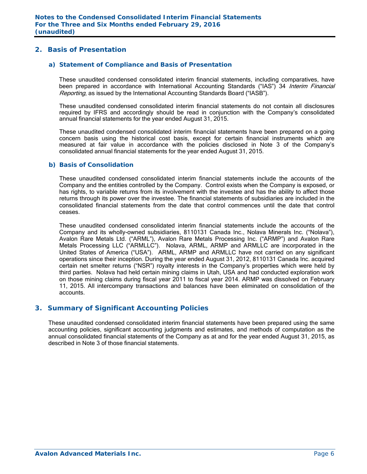## **2. Basis of Presentation**

#### *a) Statement of Compliance and Basis of Presentation*

These unaudited condensed consolidated interim financial statements, including comparatives, have been prepared in accordance with International Accounting Standards ("IAS") 34 Interim Financial Reporting, as issued by the International Accounting Standards Board ("IASB").

These unaudited condensed consolidated interim financial statements do not contain all disclosures required by IFRS and accordingly should be read in conjunction with the Company's consolidated annual financial statements for the year ended August 31, 2015.

These unaudited condensed consolidated interim financial statements have been prepared on a going concern basis using the historical cost basis, except for certain financial instruments which are measured at fair value in accordance with the policies disclosed in Note 3 of the Company's consolidated annual financial statements for the year ended August 31, 2015.

#### *b) Basis of Consolidation*

These unaudited condensed consolidated interim financial statements include the accounts of the Company and the entities controlled by the Company. Control exists when the Company is exposed, or has rights, to variable returns from its involvement with the investee and has the ability to affect those returns through its power over the investee. The financial statements of subsidiaries are included in the consolidated financial statements from the date that control commences until the date that control ceases.

These unaudited condensed consolidated interim financial statements include the accounts of the Company and its wholly-owned subsidiaries, 8110131 Canada Inc., Nolava Minerals Inc. ("Nolava"), Avalon Rare Metals Ltd. ("ARML"), Avalon Rare Metals Processing Inc. ("ARMP") and Avalon Rare Metals Processing LLC ("ARMLLC"). Nolava, ARML, ARMP and ARMLLC are incorporated in the United States of America ("USA"). ARML, ARMP and ARMLLC have not carried on any significant operations since their inception. During the year ended August 31, 2012, 8110131 Canada Inc. acquired certain net smelter returns ("NSR") royalty interests in the Company's properties which were held by third parties. Nolava had held certain mining claims in Utah, USA and had conducted exploration work on those mining claims during fiscal year 2011 to fiscal year 2014. ARMP was dissolved on February 11, 2015. All intercompany transactions and balances have been eliminated on consolidation of the accounts.

## **3. Summary of Significant Accounting Policies**

These unaudited condensed consolidated interim financial statements have been prepared using the same accounting policies, significant accounting judgments and estimates, and methods of computation as the annual consolidated financial statements of the Company as at and for the year ended August 31, 2015, as described in Note 3 of those financial statements.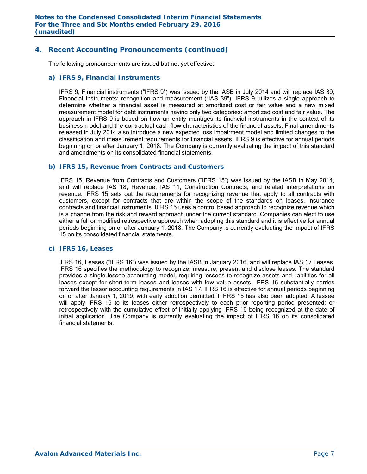## **4. Recent Accounting Pronouncements (continued)**

The following pronouncements are issued but not yet effective:

#### *a) IFRS 9, Financial Instruments*

IFRS 9, Financial instruments ("IFRS 9") was issued by the IASB in July 2014 and will replace IAS 39, Financial Instruments: recognition and measurement ("IAS 39"). IFRS 9 utilizes a single approach to determine whether a financial asset is measured at amortized cost or fair value and a new mixed measurement model for debt instruments having only two categories: amortized cost and fair value. The approach in IFRS 9 is based on how an entity manages its financial instruments in the context of its business model and the contractual cash flow characteristics of the financial assets. Final amendments released in July 2014 also introduce a new expected loss impairment model and limited changes to the classification and measurement requirements for financial assets. IFRS 9 is effective for annual periods beginning on or after January 1, 2018. The Company is currently evaluating the impact of this standard and amendments on its consolidated financial statements.

#### *b) IFRS 15, Revenue from Contracts and Customers*

IFRS 15, Revenue from Contracts and Customers ("IFRS 15") was issued by the IASB in May 2014, and will replace IAS 18, Revenue, IAS 11, Construction Contracts, and related interpretations on revenue. IFRS 15 sets out the requirements for recognizing revenue that apply to all contracts with customers, except for contracts that are within the scope of the standards on leases, insurance contracts and financial instruments. IFRS 15 uses a control based approach to recognize revenue which is a change from the risk and reward approach under the current standard. Companies can elect to use either a full or modified retrospective approach when adopting this standard and it is effective for annual periods beginning on or after January 1, 2018. The Company is currently evaluating the impact of IFRS 15 on its consolidated financial statements.

## *c) IFRS 16, Leases*

 IFRS 16, Leases ("IFRS 16") was issued by the IASB in January 2016, and will replace IAS 17 Leases. IFRS 16 specifies the methodology to recognize, measure, present and disclose leases. The standard provides a single lessee accounting model, requiring lessees to recognize assets and liabilities for all leases except for short-term leases and leases with low value assets. IFRS 16 substantially carries forward the lessor accounting requirements in IAS 17. IFRS 16 is effective for annual periods beginning on or after January 1, 2019, with early adoption permitted if IFRS 15 has also been adopted. A lessee will apply IFRS 16 to its leases either retrospectively to each prior reporting period presented; or retrospectively with the cumulative effect of initially applying IFRS 16 being recognized at the date of initial application. The Company is currently evaluating the impact of IFRS 16 on its consolidated financial statements.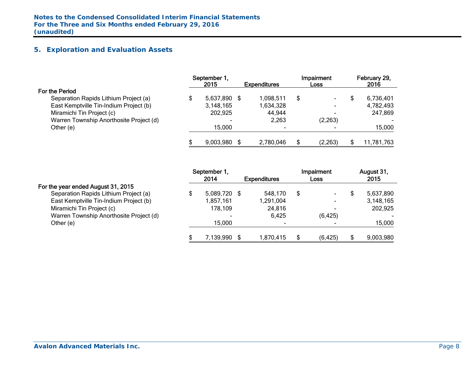## **5. Exploration and Evaluation Assets**

|                                         | September 1,<br>2015 | <b>Expenditures</b> | Impairment<br><b>Loss</b> | February 29,<br>2016 |
|-----------------------------------------|----------------------|---------------------|---------------------------|----------------------|
| For the Period                          |                      |                     |                           |                      |
| Separation Rapids Lithium Project (a)   | 5,637,890 \$         | 1,098,511           | \$                        | 6,736,401            |
| East Kemptville Tin-Indium Project (b)  | 3,148,165            | 1,634,328           | $\blacksquare$            | 4,782,493            |
| Miramichi Tin Project (c)               | 202,925              | 44,944              |                           | 247,869              |
| Warren Township Anorthosite Project (d) |                      | 2,263               | (2, 263)                  |                      |
| Other (e)                               | 15,000               | $\blacksquare$      |                           | 15,000               |
|                                         | 9.003.980            | 2,780,046           | \$<br>(2, 263)            | 11,781,763           |

|                                         | September 1,       |                     |   | Impairment     |   | August 31, |
|-----------------------------------------|--------------------|---------------------|---|----------------|---|------------|
|                                         | 2014               | <b>Expenditures</b> |   | Loss           |   | 2015       |
| For the year ended August 31, 2015      |                    |                     |   |                |   |            |
| Separation Rapids Lithium Project (a)   | \$<br>5,089,720 \$ | 548,170             | S |                | S | 5,637,890  |
| East Kemptville Tin-Indium Project (b)  | 1,857,161          | 1,291,004           |   | $\blacksquare$ |   | 3,148,165  |
| Miramichi Tin Project (c)               | 178,109            | 24,816              |   |                |   | 202,925    |
| Warren Township Anorthosite Project (d) | -                  | 6,425               |   | (6, 425)       |   |            |
| Other (e)                               | 15,000             |                     |   |                |   | 15,000     |
|                                         | 7,139,990          | 1,870,415           | S | (6, 425)       |   | 9,003,980  |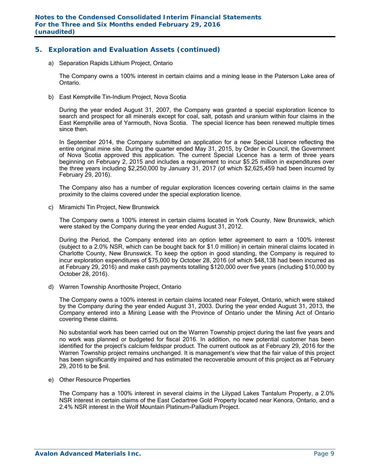## **5. Exploration and Evaluation Assets (continued)**

a) Separation Rapids Lithium Project, Ontario

The Company owns a 100% interest in certain claims and a mining lease in the Paterson Lake area of Ontario.

b) East Kemptville Tin-Indium Project, Nova Scotia

During the year ended August 31, 2007, the Company was granted a special exploration licence to search and prospect for all minerals except for coal, salt, potash and uranium within four claims in the East Kemptville area of Yarmouth, Nova Scotia. The special licence has been renewed multiple times since then.

In September 2014, the Company submitted an application for a new Special Licence reflecting the entire original mine site. During the quarter ended May 31, 2015, by Order in Council, the Government of Nova Scotia approved this application. The current Special Licence has a term of three years beginning on February 2, 2015 and includes a requirement to incur \$5.25 million in expenditures over the three years including \$2,250,000 by January 31, 2017 (of which \$2,625,459 had been incurred by February 29, 2016).

The Company also has a number of regular exploration licences covering certain claims in the same proximity to the claims covered under the special exploration licence.

c) Miramichi Tin Project, New Brunswick

The Company owns a 100% interest in certain claims located in York County, New Brunswick, which were staked by the Company during the year ended August 31, 2012.

During the Period, the Company entered into an option letter agreement to earn a 100% interest (subject to a 2.0% NSR, which can be bought back for \$1.0 million) in certain mineral claims located in Charlotte County, New Brunswick. To keep the option in good standing, the Company is required to incur exploration expenditures of \$75,000 by October 28, 2016 (of which \$48,138 had been incurred as at February 29, 2016) and make cash payments totalling \$120,000 over five years (including \$10,000 by October 28, 2016).

d) Warren Township Anorthosite Project, Ontario

The Company owns a 100% interest in certain claims located near Foleyet, Ontario, which were staked by the Company during the year ended August 31, 2003. During the year ended August 31, 2013, the Company entered into a Mining Lease with the Province of Ontario under the Mining Act of Ontario covering these claims.

No substantial work has been carried out on the Warren Township project during the last five years and no work was planned or budgeted for fiscal 2016. In addition, no new potential customer has been identified for the project's calcium feldspar product. The current outlook as at February 29, 2016 for the Warren Township project remains unchanged. It is management's view that the fair value of this project has been significantly impaired and has estimated the recoverable amount of this project as at February 29, 2016 to be \$nil.

e) Other Resource Properties

The Company has a 100% interest in several claims in the Lilypad Lakes Tantalum Property, a 2.0% NSR interest in certain claims of the East Cedartree Gold Property located near Kenora, Ontario, and a 2.4% NSR interest in the Wolf Mountain Platinum-Palladium Project.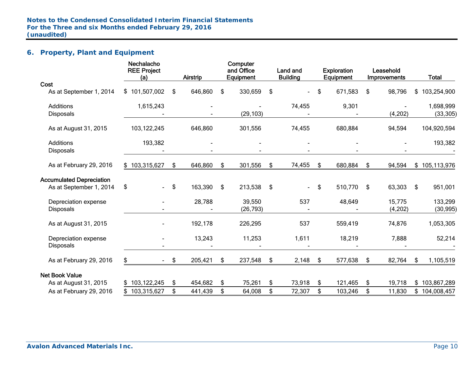## **6. Property, Plant and Equipment**

|                                 | Nechalacho<br><b>REE Project</b><br>(a) | Airstrip      | Computer<br>and Office<br>Equipment | Land and<br><b>Building</b> | <b>Exploration</b><br>Equipment | Leasehold<br>Improvements | <b>Total</b>      |
|---------------------------------|-----------------------------------------|---------------|-------------------------------------|-----------------------------|---------------------------------|---------------------------|-------------------|
| Cost                            |                                         |               |                                     |                             |                                 |                           |                   |
| As at September 1, 2014         | \$101,507,002                           | \$<br>646,860 | \$<br>330,659                       | \$                          | \$<br>671,583                   | \$<br>98,796              | \$<br>103,254,900 |
| <b>Additions</b>                | 1,615,243                               |               |                                     | 74,455                      | 9,301                           |                           | 1,698,999         |
| <b>Disposals</b>                |                                         |               | (29, 103)                           |                             |                                 | (4,202)                   | (33, 305)         |
| As at August 31, 2015           | 103,122,245                             | 646,860       | 301,556                             | 74,455                      | 680,884                         | 94,594                    | 104,920,594       |
| <b>Additions</b>                | 193,382                                 |               |                                     |                             |                                 |                           | 193,382           |
| <b>Disposals</b>                |                                         |               |                                     |                             |                                 |                           |                   |
| As at February 29, 2016         | \$103,315,627                           | \$<br>646,860 | \$<br>301,556                       | \$<br>74,455                | \$<br>680,884                   | \$<br>94,594              | \$105,113,976     |
| <b>Accumulated Depreciation</b> |                                         |               |                                     |                             |                                 |                           |                   |
| As at September 1, 2014         | \$<br>$\blacksquare$                    | \$<br>163,390 | \$<br>213,538                       | \$<br>$\sim$                | \$<br>510,770                   | \$<br>63,303              | \$<br>951,001     |
| Depreciation expense            |                                         | 28,788        | 39,550                              | 537                         | 48,649                          | 15,775                    | 133,299           |
| <b>Disposals</b>                |                                         |               | (26, 793)                           |                             |                                 | (4,202)                   | (30, 995)         |
| As at August 31, 2015           |                                         | 192,178       | 226,295                             | 537                         | 559,419                         | 74,876                    | 1,053,305         |
| Depreciation expense            |                                         | 13,243        | 11,253                              | 1,611                       | 18,219                          | 7,888                     | 52,214            |
| Disposals                       |                                         |               |                                     |                             |                                 |                           |                   |
| As at February 29, 2016         | S.<br>$\sim$                            | \$<br>205,421 | \$<br>237,548                       | \$<br>2,148                 | \$<br>577,638                   | \$<br>82,764              | \$<br>1,105,519   |
| <b>Net Book Value</b>           |                                         |               |                                     |                             |                                 |                           |                   |
| As at August 31, 2015           | \$103,122,245                           | \$<br>454,682 | \$<br>75,261                        | \$<br>73,918                | \$<br>121,465                   | \$<br>19,718              | \$<br>103,867,289 |
| As at February 29, 2016         | \$103,315,627                           | \$<br>441,439 | \$<br>64,008                        | \$<br>72,307                | \$<br>103,246                   | \$<br>11,830              | \$<br>104,008,457 |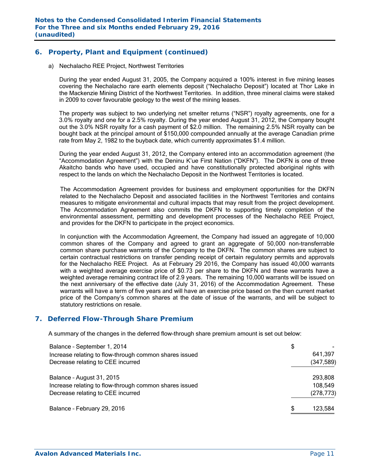## **6. Property, Plant and Equipment (continued)**

a) Nechalacho REE Project, Northwest Territories

During the year ended August 31, 2005, the Company acquired a 100% interest in five mining leases covering the Nechalacho rare earth elements deposit ("Nechalacho Deposit") located at Thor Lake in the Mackenzie Mining District of the Northwest Territories. In addition, three mineral claims were staked in 2009 to cover favourable geology to the west of the mining leases.

The property was subject to two underlying net smelter returns ("NSR") royalty agreements, one for a 3.0% royalty and one for a 2.5% royalty. During the year ended August 31, 2012, the Company bought out the 3.0% NSR royalty for a cash payment of \$2.0 million. The remaining 2.5% NSR royalty can be bought back at the principal amount of \$150,000 compounded annually at the average Canadian prime rate from May 2, 1982 to the buyback date, which currently approximates \$1.4 million.

During the year ended August 31, 2012, the Company entered into an accommodation agreement (the "Accommodation Agreement") with the Deninu K'ue First Nation ("DKFN"). The DKFN is one of three Akaitcho bands who have used, occupied and have constitutionally protected aboriginal rights with respect to the lands on which the Nechalacho Deposit in the Northwest Territories is located.

The Accommodation Agreement provides for business and employment opportunities for the DKFN related to the Nechalacho Deposit and associated facilities in the Northwest Territories and contains measures to mitigate environmental and cultural impacts that may result from the project development. The Accommodation Agreement also commits the DKFN to supporting timely completion of the environmental assessment, permitting and development processes of the Nechalacho REE Project, and provides for the DKFN to participate in the project economics.

In conjunction with the Accommodation Agreement, the Company had issued an aggregate of 10,000 common shares of the Company and agreed to grant an aggregate of 50,000 non-transferrable common share purchase warrants of the Company to the DKFN. The common shares are subject to certain contractual restrictions on transfer pending receipt of certain regulatory permits and approvals for the Nechalacho REE Project. As at February 29 2016, the Company has issued 40,000 warrants with a weighted average exercise price of \$0.73 per share to the DKFN and these warrants have a weighted average remaining contract life of 2.9 years. The remaining 10,000 warrants will be issued on the next anniversary of the effective date (July 31, 2016) of the Accommodation Agreement. These warrants will have a term of five years and will have an exercise price based on the then current market price of the Company's common shares at the date of issue of the warrants, and will be subject to statutory restrictions on resale.

## **7. Deferred Flow-Through Share Premium**

A summary of the changes in the deferred flow-through share premium amount is set out below:

| Balance - September 1, 2014                            | \$           |
|--------------------------------------------------------|--------------|
| Increase relating to flow-through common shares issued | 641,397      |
| Decrease relating to CEE incurred                      | (347, 589)   |
| Balance - August 31, 2015                              | 293,808      |
| Increase relating to flow-through common shares issued | 108,549      |
| Decrease relating to CEE incurred                      | (278, 773)   |
| Balance - February 29, 2016                            | S<br>123,584 |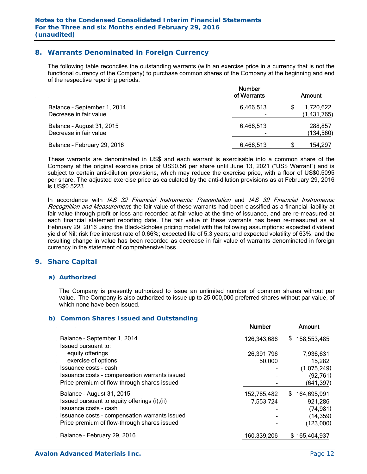## **8. Warrants Denominated in Foreign Currency**

The following table reconciles the outstanding warrants (with an exercise price in a currency that is not the functional currency of the Company) to purchase common shares of the Company at the beginning and end of the respective reporting periods:

|                                                       | <b>Number</b><br>of Warrants | Amount                   |
|-------------------------------------------------------|------------------------------|--------------------------|
| Balance - September 1, 2014<br>Decrease in fair value | 6,466,513                    | 1,720,622<br>(1,431,765) |
| Balance - August 31, 2015<br>Decrease in fair value   | 6,466,513                    | 288,857<br>(134, 560)    |
| Balance - February 29, 2016                           | 6,466,513                    | 154,297                  |

These warrants are denominated in US\$ and each warrant is exercisable into a common share of the Company at the original exercise price of US\$0.56 per share until June 13, 2021 ("US\$ Warrant") and is subject to certain anti-dilution provisions, which may reduce the exercise price, with a floor of US\$0.5095 per share. The adjusted exercise price as calculated by the anti-dilution provisions as at February 29, 2016 is US\$0.5223.

In accordance with IAS 32 Financial Instruments: Presentation and IAS 39 Financial Instruments: Recognition and Measurement, the fair value of these warrants had been classified as a financial liability at fair value through profit or loss and recorded at fair value at the time of issuance, and are re-measured at each financial statement reporting date. The fair value of these warrants has been re-measured as at February 29, 2016 using the Black-Scholes pricing model with the following assumptions: expected dividend yield of Nil; risk free interest rate of 0.66%; expected life of 5.3 years; and expected volatility of 63%, and the resulting change in value has been recorded as decrease in fair value of warrants denominated in foreign currency in the statement of comprehensive loss.

## **9. Share Capital**

#### *a) Authorized*

The Company is presently authorized to issue an unlimited number of common shares without par value. The Company is also authorized to issue up to 25,000,000 preferred shares without par value, of which none have been issued.

#### *b) Common Shares Issued and Outstanding*

|                                               | <b>Number</b> | Amount            |
|-----------------------------------------------|---------------|-------------------|
| Balance - September 1, 2014                   | 126,343,686   | 158,553,485<br>\$ |
| Issued pursuant to:                           |               |                   |
| equity offerings                              | 26,391,796    | 7,936,631         |
| exercise of options                           | 50,000        | 15,282            |
| Issuance costs - cash                         |               | (1,075,249)       |
| Issuance costs - compensation warrants issued |               | (92, 761)         |
| Price premium of flow-through shares issued   |               | (641,397)         |
| Balance - August 31, 2015                     | 152,785,482   | S.<br>164,695,991 |
| Issued pursuant to equity offerings (i), (ii) | 7,553,724     | 921,286           |
| Issuance costs - cash                         |               | (74, 981)         |
| Issuance costs - compensation warrants issued |               | (14, 359)         |
| Price premium of flow-through shares issued   |               | (123,000)         |
| Balance - February 29, 2016                   | 160,339,206   | \$165,404,937     |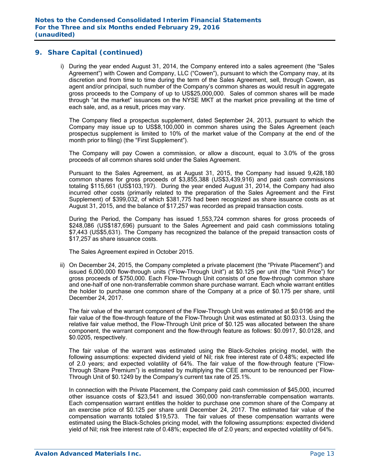i) During the year ended August 31, 2014, the Company entered into a sales agreement (the "Sales Agreement") with Cowen and Company, LLC ("Cowen"), pursuant to which the Company may, at its discretion and from time to time during the term of the Sales Agreement, sell, through Cowen, as agent and/or principal, such number of the Company's common shares as would result in aggregate gross proceeds to the Company of up to US\$25,000,000. Sales of common shares will be made through "at the market" issuances on the NYSE MKT at the market price prevailing at the time of each sale, and, as a result, prices may vary.

The Company filed a prospectus supplement, dated September 24, 2013, pursuant to which the Company may issue up to US\$8,100,000 in common shares using the Sales Agreement (each prospectus supplement is limited to 10% of the market value of the Company at the end of the month prior to filing) (the "First Supplement").

The Company will pay Cowen a commission, or allow a discount, equal to 3.0% of the gross proceeds of all common shares sold under the Sales Agreement.

Pursuant to the Sales Agreement, as at August 31, 2015, the Company had issued 9,428,180 common shares for gross proceeds of \$3,855,388 (US\$3,439,916) and paid cash commissions totaling \$115,661 (US\$103,197). During the year ended August 31, 2014, the Company had also incurred other costs (primarily related to the preparation of the Sales Agreement and the First Supplement) of \$399,032, of which \$381,775 had been recognized as share issuance costs as at August 31, 2015, and the balance of \$17,257 was recorded as prepaid transaction costs.

During the Period, the Company has issued 1,553,724 common shares for gross proceeds of \$248,086 (US\$187,696) pursuant to the Sales Agreement and paid cash commissions totaling \$7,443 (US\$5,631). The Company has recognized the balance of the prepaid transaction costs of \$17,257 as share issuance costs.

The Sales Agreement expired in October 2015.

ii) On December 24, 2015, the Company completed a private placement (the "Private Placement") and issued 6,000,000 flow-through units ("Flow-Through Unit") at \$0.125 per unit (the "Unit Price") for gross proceeds of \$750,000. Each Flow-Through Unit consists of one flow-through common share and one-half of one non-transferrable common share purchase warrant. Each whole warrant entitles the holder to purchase one common share of the Company at a price of \$0.175 per share, until December 24, 2017.

The fair value of the warrant component of the Flow-Through Unit was estimated at \$0.0196 and the fair value of the flow-through feature of the Flow-Through Unit was estimated at \$0.0313. Using the relative fair value method, the Flow-Through Unit price of \$0.125 was allocated between the share component, the warrant component and the flow-through feature as follows: \$0.0917, \$0.0128, and \$0.0205, respectively.

The fair value of the warrant was estimated using the Black-Scholes pricing model, with the following assumptions: expected dividend yield of Nil; risk free interest rate of 0.48%; expected life of 2.0 years; and expected volatility of 64%. The fair value of the flow-through feature ("Flow-Through Share Premium") is estimated by multiplying the CEE amount to be renounced per Flow-Through Unit of \$0.1249 by the Company's current tax rate of 25.1%.

In connection with the Private Placement, the Company paid cash commission of \$45,000, incurred other issuance costs of \$23,541 and issued 360,000 non-transferrable compensation warrants. Each compensation warrant entitles the holder to purchase one common share of the Company at an exercise price of \$0.125 per share until December 24, 2017. The estimated fair value of the compensation warrants totaled \$19,573. The fair values of these compensation warrants were estimated using the Black-Scholes pricing model, with the following assumptions: expected dividend yield of Nil; risk free interest rate of 0.48%; expected life of 2.0 years; and expected volatility of 64%.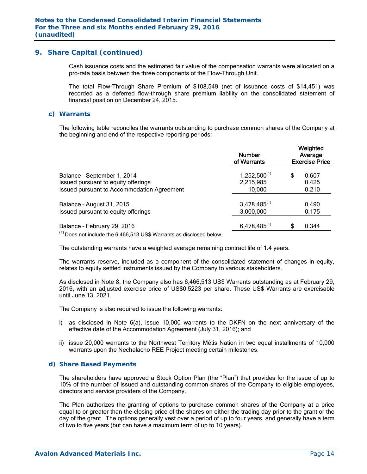Cash issuance costs and the estimated fair value of the compensation warrants were allocated on a pro-rata basis between the three components of the Flow-Through Unit.

The total Flow-Through Share Premium of \$108,549 (net of issuance costs of \$14,451) was recorded as a deferred flow-through share premium liability on the consolidated statement of financial position on December 24, 2015.

#### *c) Warrants*

The following table reconciles the warrants outstanding to purchase common shares of the Company at the beginning and end of the respective reporting periods:

|                                                                             | <b>Number</b><br>of Warrants | Weighted<br>Average<br><b>Exercise Price</b> |  |
|-----------------------------------------------------------------------------|------------------------------|----------------------------------------------|--|
| Balance - September 1, 2014                                                 | $1,252,500^{(1)}$            | \$<br>0.607                                  |  |
| Issued pursuant to equity offerings                                         | 2,215,985                    | 0.425                                        |  |
| Issued pursuant to Accommodation Agreement                                  | 10,000                       | 0.210                                        |  |
| Balance - August 31, 2015                                                   | $3,478,485^{(1)}$            | 0.490                                        |  |
| Issued pursuant to equity offerings                                         | 3,000,000                    | 0.175                                        |  |
| Balance - February 29, 2016                                                 | $6,478,485^{(1)}$            | \$<br>0.344                                  |  |
| $\frac{(1)}{2}$ Descriptively the C 4CC E12 UCC Mexents as disclosed below. |                              |                                              |  |

Does not include the 6,466,513 US\$ Warrants as disclosed below.

The outstanding warrants have a weighted average remaining contract life of 1.4 years.

The warrants reserve, included as a component of the consolidated statement of changes in equity, relates to equity settled instruments issued by the Company to various stakeholders.

As disclosed in Note 8, the Company also has 6,466,513 US\$ Warrants outstanding as at February 29, 2016, with an adjusted exercise price of US\$0.5223 per share. These US\$ Warrants are exercisable until June 13, 2021.

The Company is also required to issue the following warrants:

- i) as disclosed in Note 6(a), issue 10,000 warrants to the DKFN on the next anniversary of the effective date of the Accommodation Agreement (July 31, 2016); and
- ii) issue 20,000 warrants to the Northwest Territory Métis Nation in two equal installments of 10,000 warrants upon the Nechalacho REE Project meeting certain milestones.

#### *d) Share Based Payments*

The shareholders have approved a Stock Option Plan (the "Plan") that provides for the issue of up to 10% of the number of issued and outstanding common shares of the Company to eligible employees, directors and service providers of the Company.

The Plan authorizes the granting of options to purchase common shares of the Company at a price equal to or greater than the closing price of the shares on either the trading day prior to the grant or the day of the grant. The options generally vest over a period of up to four years, and generally have a term of two to five years (but can have a maximum term of up to 10 years).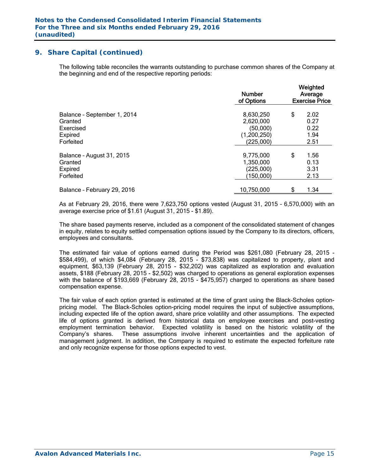The following table reconciles the warrants outstanding to purchase common shares of the Company at the beginning and end of the respective reporting periods:

|                             | <b>Number</b><br>of Options | Weighted<br>Average<br><b>Exercise Price</b> |      |  |  |
|-----------------------------|-----------------------------|----------------------------------------------|------|--|--|
| Balance - September 1, 2014 | 8,630,250                   | \$                                           | 2.02 |  |  |
| Granted                     | 2,620,000                   |                                              | 0.27 |  |  |
| Exercised                   | (50,000)                    |                                              | 0.22 |  |  |
| Expired                     | (1,200,250)                 |                                              | 1.94 |  |  |
| Forfeited                   | (225,000)                   |                                              | 2.51 |  |  |
| Balance - August 31, 2015   | 9,775,000                   | \$                                           | 1.56 |  |  |
| Granted                     | 1,350,000                   |                                              | 0.13 |  |  |
| Expired                     | (225,000)                   |                                              | 3.31 |  |  |
| Forfeited                   | 150,000)                    |                                              | 2.13 |  |  |
| Balance - February 29, 2016 | 10,750,000                  | \$                                           | 1.34 |  |  |

As at February 29, 2016, there were 7,623,750 options vested (August 31, 2015 – 6,570,000) with an average exercise price of \$1.61 (August 31, 2015 - \$1.89).

The share based payments reserve, included as a component of the consolidated statement of changes in equity, relates to equity settled compensation options issued by the Company to its directors, officers, employees and consultants.

The estimated fair value of options earned during the Period was \$261,080 (February 28, 2015 - \$584,499), of which \$4,084 (February 28, 2015 - \$73,838) was capitalized to property, plant and equipment, \$63,139 (February 28, 2015 - \$32,202) was capitalized as exploration and evaluation assets, \$188 (February 28, 2015 - \$2,502) was charged to operations as general exploration expenses with the balance of \$193,669 (February 28, 2015 - \$475,957) charged to operations as share based compensation expense.

The fair value of each option granted is estimated at the time of grant using the Black-Scholes optionpricing model. The Black-Scholes option-pricing model requires the input of subjective assumptions, including expected life of the option award, share price volatility and other assumptions. The expected life of options granted is derived from historical data on employee exercises and post-vesting employment termination behavior. Expected volatility is based on the historic volatility of the Company's shares. These assumptions involve inherent uncertainties and the application of management judgment. In addition, the Company is required to estimate the expected forfeiture rate and only recognize expense for those options expected to vest.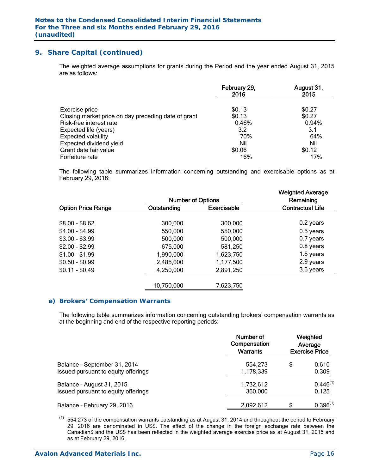The weighted average assumptions for grants during the Period and the year ended August 31, 2015 are as follows:

|                                                     | February 29,<br>2016 | August 31,<br>2015 |
|-----------------------------------------------------|----------------------|--------------------|
| Exercise price                                      | \$0.13               | \$0.27             |
| Closing market price on day preceding date of grant | \$0.13               | \$0.27             |
| Risk-free interest rate                             | 0.46%                | 0.94%              |
| Expected life (years)                               | 3.2                  | 3.1                |
| <b>Expected volatility</b>                          | 70%                  | 64%                |
| Expected dividend yield                             | Nil                  | Nil                |
| Grant date fair value                               | \$0.06               | \$0.12             |
| Forfeiture rate                                     | 16%                  | 17%                |

The following table summarizes information concerning outstanding and exercisable options as at February 29, 2016:

|                           | <b>Number of Options</b> |                    | <b>Weighted Average</b><br>Remaining |
|---------------------------|--------------------------|--------------------|--------------------------------------|
| <b>Option Price Range</b> | Outstanding              | <b>Exercisable</b> | <b>Contractual Life</b>              |
| $$8.00 - $8.62$           | 300,000                  | 300,000            | 0.2 years                            |
| $$4.00 - $4.99$           | 550,000                  | 550,000            | $0.5$ years                          |
| $$3.00 - $3.99$           | 500,000                  | 500,000            | 0.7 years                            |
| $$2.00 - $2.99$           | 675,000                  | 581,250            | 0.8 years                            |
| $$1.00 - $1.99$           | 1,990,000                | 1,623,750          | 1.5 years                            |
| $$0.50 - $0.99$           | 2,485,000                | 1,177,500          | 2.9 years                            |
| $$0.11 - $0.49$           | 4,250,000                | 2,891,250          | 3.6 years                            |
|                           | 10,750,000               | 7,623,750          |                                      |

#### *e) Brokers' Compensation Warrants*

The following table summarizes information concerning outstanding brokers' compensation warrants as at the beginning and end of the respective reporting periods:

|                                     | Number of<br>Compensation<br><b>Warrants</b> | Weighted<br>Average<br><b>Exercise Price</b> |               |  |
|-------------------------------------|----------------------------------------------|----------------------------------------------|---------------|--|
| Balance - September 31, 2014        | 554.273                                      | \$                                           | 0.610         |  |
| Issued pursuant to equity offerings | 1,178,339                                    |                                              | 0.309         |  |
| Balance - August 31, 2015           | 1,732,612                                    |                                              | $0.446^{(1)}$ |  |
| Issued pursuant to equity offerings | 360,000                                      |                                              | 0.125         |  |
| Balance - February 29, 2016         | 2,092,612                                    | S                                            | $0.396^{(1)}$ |  |

 $(1)$  554,273 of the compensation warrants outstanding as at August 31, 2014 and throughout the period to February 29, 2016 are denominated in US\$. The effect of the change in the foreign exchange rate between the Canadian\$ and the US\$ has been reflected in the weighted average exercise price as at August 31, 2015 and as at February 29, 2016.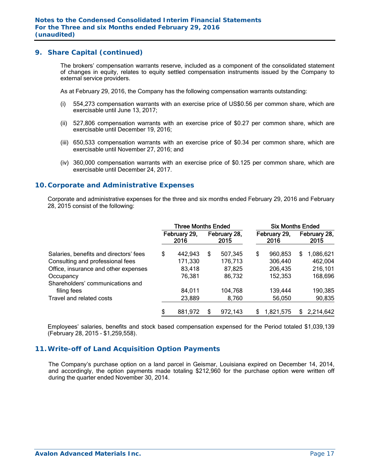The brokers' compensation warrants reserve, included as a component of the consolidated statement of changes in equity, relates to equity settled compensation instruments issued by the Company to external service providers.

As at February 29, 2016, the Company has the following compensation warrants outstanding:

- (i) 554,273 compensation warrants with an exercise price of US\$0.56 per common share, which are exercisable until June 13, 2017;
- (ii) 527,806 compensation warrants with an exercise price of \$0.27 per common share, which are exercisable until December 19, 2016;
- (iii) 650,533 compensation warrants with an exercise price of \$0.34 per common share, which are exercisable until November 27, 2016; and
- (iv) 360,000 compensation warrants with an exercise price of \$0.125 per common share, which are exercisable until December 24, 2017.

## **10. Corporate and Administrative Expenses**

 Corporate and administrative expenses for the three and six months ended February 29, 2016 and February 28, 2015 consist of the following:

|                                        | <b>Three Months Ended</b> |                      |   |                      | <b>Six Months Ended</b> |                      |    |                      |  |
|----------------------------------------|---------------------------|----------------------|---|----------------------|-------------------------|----------------------|----|----------------------|--|
|                                        |                           | February 29,<br>2016 |   | February 28,<br>2015 |                         | February 29,<br>2016 |    | February 28,<br>2015 |  |
| Salaries, benefits and directors' fees | \$                        | 442,943              | S | 507,345              | \$                      | 960,853              | S  | 1,086,621            |  |
| Consulting and professional fees       |                           | 171,330              |   | 176,713              |                         | 306,440              |    | 462,004              |  |
| Office, insurance and other expenses   |                           | 83,418               |   | 87,825               |                         | 206,435              |    | 216,101              |  |
| Occupancy                              |                           | 76,381               |   | 86,732               |                         | 152,353              |    | 168,696              |  |
| Shareholders' communications and       |                           |                      |   |                      |                         |                      |    |                      |  |
| filing fees                            |                           | 84,011               |   | 104,768              |                         | 139,444              |    | 190,385              |  |
| Travel and related costs               |                           | 23,889               |   | 8,760                |                         | 56,050               |    | 90,835               |  |
|                                        | \$                        | 881,972              | S | 972,143              | \$.                     | 1,821,575            | S. | 2,214,642            |  |

Employees' salaries, benefits and stock based compensation expensed for the Period totaled \$1,039,139 (February 28, 2015 – \$1,259,558).

## **11. Write-off of Land Acquisition Option Payments**

The Company's purchase option on a land parcel in Geismar, Louisiana expired on December 14, 2014, and accordingly, the option payments made totaling \$212,960 for the purchase option were written off during the quarter ended November 30, 2014.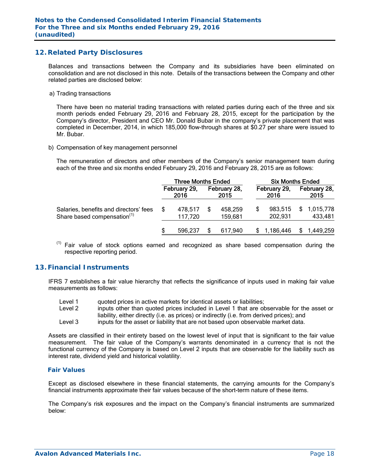## **12. Related Party Disclosures**

Balances and transactions between the Company and its subsidiaries have been eliminated on consolidation and are not disclosed in this note. Details of the transactions between the Company and other related parties are disclosed below:

a) Trading transactions

There have been no material trading transactions with related parties during each of the three and six month periods ended February 29, 2016 and February 28, 2015, except for the participation by the Company's director, President and CEO Mr. Donald Bubar in the company's private placement that was completed in December, 2014, in which 185,000 flow-through shares at \$0.27 per share were issued to Mr. Bubar.

#### b) Compensation of key management personnel

The remuneration of directors and other members of the Company's senior management team during each of the three and six months ended February 29, 2016 and February 28, 2015 are as follows:

|                                                                                   | <b>Three Months Ended</b> |                      |  |                      | <b>Six Months Ended</b> |                      |  |                        |  |
|-----------------------------------------------------------------------------------|---------------------------|----------------------|--|----------------------|-------------------------|----------------------|--|------------------------|--|
|                                                                                   |                           | February 29,<br>2016 |  | February 28,<br>2015 |                         | February 29,<br>2016 |  | February 28,<br>2015   |  |
| Salaries, benefits and directors' fees<br>Share based compensation <sup>(1)</sup> |                           | 478.517<br>117,720   |  | 458.259<br>159,681   |                         | 983.515<br>202,931   |  | \$1,015,778<br>433,481 |  |
|                                                                                   |                           | 596.237              |  | 617.940              |                         | 1,186,446            |  | 1,449,259              |  |

 $<sup>(1)</sup>$  Fair value of stock options earned and recognized as share based compensation during the</sup> respective reporting period.

## **13. Financial Instruments**

IFRS 7 establishes a fair value hierarchy that reflects the significance of inputs used in making fair value measurements as follows:

- Level 1 audited prices in active markets for identical assets or liabilities;
- Level 2 inputs other than quoted prices included in Level 1 that are observable for the asset or liability, either directly (i.e. as prices) or indirectly (i.e. from derived prices); and Level 3 inputs for the asset or liability that are not based upon observable market data.

Assets are classified in their entirety based on the lowest level of input that is significant to the fair value measurement. The fair value of the Company's warrants denominated in a currency that is not the functional currency of the Company is based on Level 2 inputs that are observable for the liability such as interest rate, dividend yield and historical volatility.

#### *Fair Values*

Except as disclosed elsewhere in these financial statements, the carrying amounts for the Company's financial instruments approximate their fair values because of the short-term nature of these items.

The Company's risk exposures and the impact on the Company's financial instruments are summarized below: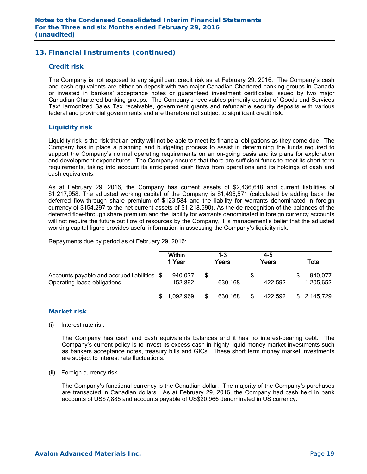## **13. Financial Instruments (continued)**

#### *Credit risk*

The Company is not exposed to any significant credit risk as at February 29, 2016. The Company's cash and cash equivalents are either on deposit with two major Canadian Chartered banking groups in Canada or invested in bankers' acceptance notes or guaranteed investment certificates issued by two major Canadian Chartered banking groups. The Company's receivables primarily consist of Goods and Services Tax/Harmonized Sales Tax receivable, government grants and refundable security deposits with various federal and provincial governments and are therefore not subject to significant credit risk.

#### *Liquidity risk*

Liquidity risk is the risk that an entity will not be able to meet its financial obligations as they come due. The Company has in place a planning and budgeting process to assist in determining the funds required to support the Company's normal operating requirements on an on-going basis and its plans for exploration and development expenditures. The Company ensures that there are sufficient funds to meet its short-term requirements, taking into account its anticipated cash flows from operations and its holdings of cash and cash equivalents.

As at February 29, 2016, the Company has current assets of \$2,436,648 and current liabilities of \$1,217,958. The adjusted working capital of the Company is \$1,496,571 (calculated by adding back the deferred flow-through share premium of \$123,584 and the liability for warrants denominated in foreign currency of \$154,297 to the net current assets of \$1,218,690). As the de-recognition of the balances of the deferred flow-through share premium and the liability for warrants denominated in foreign currency accounts will not require the future out flow of resources by the Company, it is management's belief that the adjusted working capital figure provides useful information in assessing the Company's liquidity risk.

Repayments due by period as of February 29, 2016:

|                                                                            | Within<br>1 Year   | 1-3<br>Years  | $4 - 5$<br>Years | Total                |
|----------------------------------------------------------------------------|--------------------|---------------|------------------|----------------------|
| Accounts payable and accrued liabilities \$<br>Operating lease obligations | 940,077<br>152,892 | ۰.<br>630,168 | ۰.<br>422.592    | 940,077<br>1,205,652 |
|                                                                            | 1,092,969          | 630,168       | 422,592          | 2,145,729            |

#### *Market risk*

(i) Interest rate risk

 The Company has cash and cash equivalents balances and it has no interest-bearing debt. The Company's current policy is to invest its excess cash in highly liquid money market investments such as bankers acceptance notes, treasury bills and GICs. These short term money market investments are subject to interest rate fluctuations.

(ii) Foreign currency risk

 The Company's functional currency is the Canadian dollar. The majority of the Company's purchases are transacted in Canadian dollars. As at February 29, 2016, the Company had cash held in bank accounts of US\$7,885 and accounts payable of US\$20,966 denominated in US currency.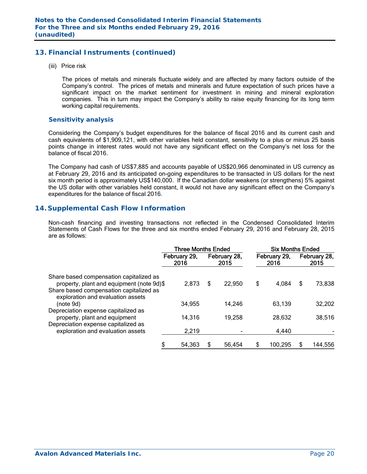## **13. Financial Instruments (continued)**

(iii) Price risk

 The prices of metals and minerals fluctuate widely and are affected by many factors outside of the Company's control. The prices of metals and minerals and future expectation of such prices have a significant impact on the market sentiment for investment in mining and mineral exploration companies. This in turn may impact the Company's ability to raise equity financing for its long term working capital requirements.

## *Sensitivity analysis*

 Considering the Company's budget expenditures for the balance of fiscal 2016 and its current cash and cash equivalents of \$1,909,121, with other variables held constant, sensitivity to a plus or minus 25 basis points change in interest rates would not have any significant effect on the Company's net loss for the balance of fiscal 2016.

The Company had cash of US\$7,885 and accounts payable of US\$20,966 denominated in US currency as at February 29, 2016 and its anticipated on-going expenditures to be transacted in US dollars for the next six month period is approximately US\$140,000. If the Canadian dollar weakens (or strengthens) 5% against the US dollar with other variables held constant, it would not have any significant effect on the Company's expenditures for the balance of fiscal 2016.

## **14. Supplemental Cash Flow Information**

Non-cash financing and investing transactions not reflected in the Condensed Consolidated Interim Statements of Cash Flows for the three and six months ended February 29, 2016 and February 28, 2015 are as follows:

|                                                                                      | <b>Three Months Ended</b> |   |                      | <b>Six Months Ended</b> |                      |    |                      |
|--------------------------------------------------------------------------------------|---------------------------|---|----------------------|-------------------------|----------------------|----|----------------------|
|                                                                                      | February 29,<br>2016      |   | February 28,<br>2015 |                         | February 29,<br>2016 |    | February 28,<br>2015 |
| Share based compensation capitalized as<br>property, plant and equipment (note 9d)\$ | 2,873                     | S | 22,950               | \$                      | 4,084                | \$ | 73,838               |
| Share based compensation capitalized as<br>exploration and evaluation assets         |                           |   |                      |                         |                      |    |                      |
| (note 9d)                                                                            | 34,955                    |   | 14,246               |                         | 63,139               |    | 32,202               |
| Depreciation expense capitalized as<br>property, plant and equipment                 | 14,316                    |   | 19,258               |                         | 28,632               |    | 38,516               |
| Depreciation expense capitalized as<br>exploration and evaluation assets             | 2,219                     |   |                      |                         | 4,440                |    |                      |
|                                                                                      | \$<br>54,363              | S | 56,454               |                         | 100,295              | S  | 144,556              |